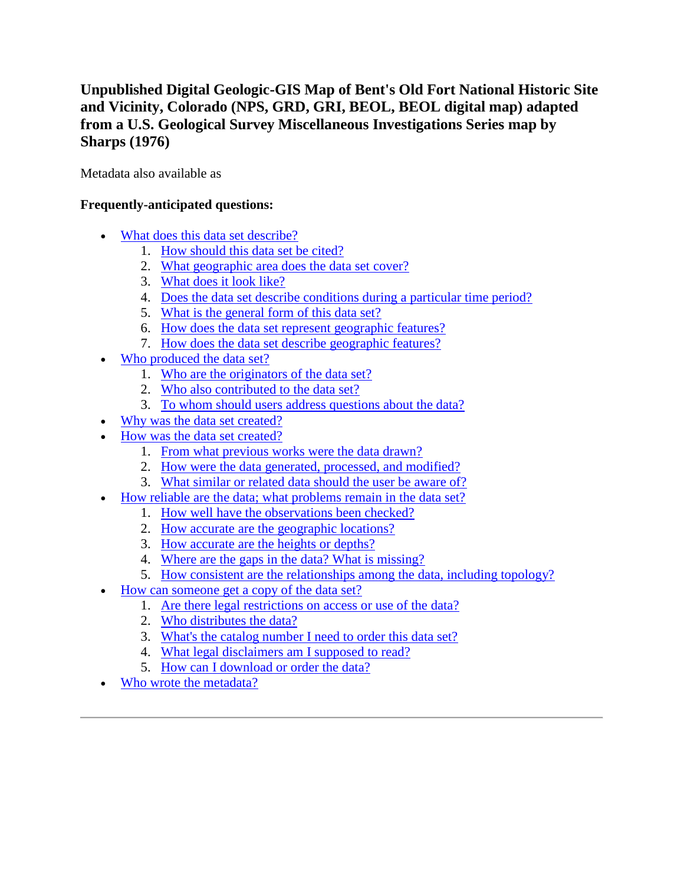# **Unpublished Digital Geologic-GIS Map of Bent's Old Fort National Historic Site and Vicinity, Colorado (NPS, GRD, GRI, BEOL, BEOL digital map) adapted from a U.S. Geological Survey Miscellaneous Investigations Series map by Sharps (1976)**

Metadata also available as

## **Frequently-anticipated questions:**

- [What does this data set describe?](#page-0-0)
	- 1. [How should this data set be cited?](#page-2-0)
	- 2. [What geographic area does the data set cover?](#page-2-1)
	- 3. [What does it look like?](#page-2-2)
	- 4. [Does the data set describe conditions during a particular time period?](#page-2-3)
	- 5. [What is the general form of this data set?](#page-2-4)
	- 6. [How does the data set represent geographic features?](#page-2-5)
	- 7. [How does the data set describe geographic features?](#page-3-0)
- [Who produced the data set?](#page-3-1)
	- 1. [Who are the originators of the data set?](#page-3-2)
	- 2. [Who also contributed to the data set?](#page-3-3)
	- 3. [To whom should users address questions about the data?](#page-3-4)
- [Why was the data set created?](#page-4-0)
- [How was the data set created?](#page-4-1)
	- 1. [From what previous works were the data drawn?](#page-4-2)
	- 2. [How were the data generated, processed, and modified?](#page-4-3)
	- 3. [What similar or related data should the user be aware of?](#page-5-0)
- [How reliable are the data; what problems remain in the data set?](#page-6-0)
	- 1. [How well have the observations been checked?](#page-6-1)
	- 2. [How accurate are the geographic locations?](#page-6-2)
	- 3. [How accurate are the heights or depths?](#page-6-3)
	- 4. [Where are the gaps in the data? What is missing?](#page-6-4)
	- 5. [How consistent are the relationships among the data, including topology?](#page-6-5)
- [How can someone get a copy of the data set?](#page-6-6)
	- 1. [Are there legal restrictions on access or use of the data?](#page-6-7)
	- 2. [Who distributes the data?](#page-7-0)
	- 3. [What's the catalog number I need to order this data set?](#page-7-1)
	- 4. [What legal disclaimers am I supposed to read?](#page-7-2)
	- 5. [How can I download or order the data?](#page-8-0)
- <span id="page-0-0"></span>[Who wrote the metadata?](#page-8-1)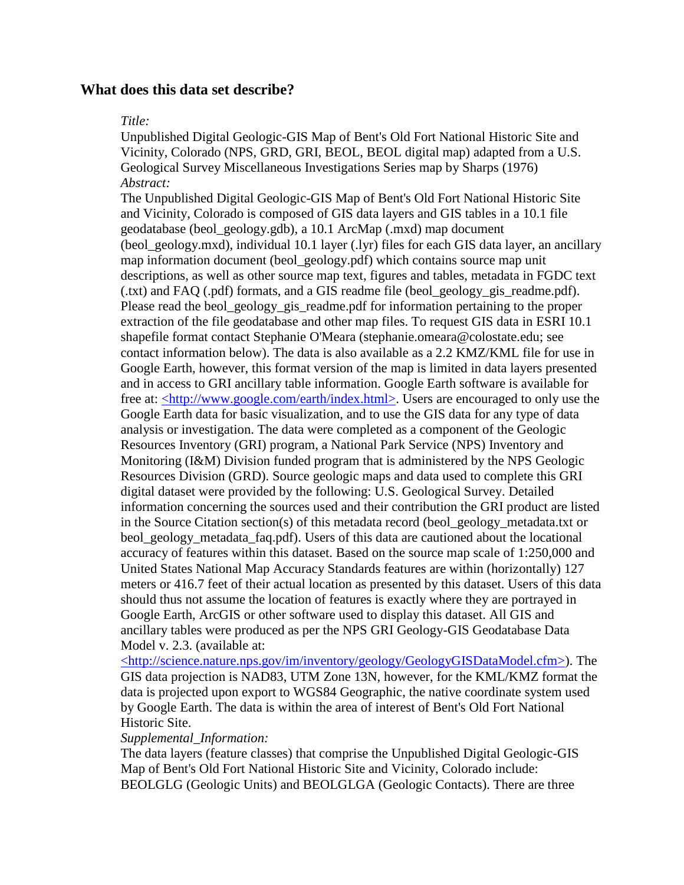## **What does this data set describe?**

#### *Title:*

Unpublished Digital Geologic-GIS Map of Bent's Old Fort National Historic Site and Vicinity, Colorado (NPS, GRD, GRI, BEOL, BEOL digital map) adapted from a U.S. Geological Survey Miscellaneous Investigations Series map by Sharps (1976) *Abstract:*

The Unpublished Digital Geologic-GIS Map of Bent's Old Fort National Historic Site and Vicinity, Colorado is composed of GIS data layers and GIS tables in a 10.1 file geodatabase (beol\_geology.gdb), a 10.1 ArcMap (.mxd) map document (beol\_geology.mxd), individual 10.1 layer (.lyr) files for each GIS data layer, an ancillary map information document (beol\_geology.pdf) which contains source map unit descriptions, as well as other source map text, figures and tables, metadata in FGDC text (.txt) and FAQ (.pdf) formats, and a GIS readme file (beol\_geology\_gis\_readme.pdf). Please read the beol\_geology\_gis\_readme.pdf for information pertaining to the proper extraction of the file geodatabase and other map files. To request GIS data in ESRI 10.1 shapefile format contact Stephanie O'Meara (stephanie.omeara@colostate.edu; see contact information below). The data is also available as a 2.2 KMZ/KML file for use in Google Earth, however, this format version of the map is limited in data layers presented and in access to GRI ancillary table information. Google Earth software is available for free at: [<http://www.google.com/earth/index.html>.](http://www.google.com/earth/index.html) Users are encouraged to only use the Google Earth data for basic visualization, and to use the GIS data for any type of data analysis or investigation. The data were completed as a component of the Geologic Resources Inventory (GRI) program, a National Park Service (NPS) Inventory and Monitoring (I&M) Division funded program that is administered by the NPS Geologic Resources Division (GRD). Source geologic maps and data used to complete this GRI digital dataset were provided by the following: U.S. Geological Survey. Detailed information concerning the sources used and their contribution the GRI product are listed in the Source Citation section(s) of this metadata record (beol\_geology\_metadata.txt or beol\_geology\_metadata\_faq.pdf). Users of this data are cautioned about the locational accuracy of features within this dataset. Based on the source map scale of 1:250,000 and United States National Map Accuracy Standards features are within (horizontally) 127 meters or 416.7 feet of their actual location as presented by this dataset. Users of this data should thus not assume the location of features is exactly where they are portrayed in Google Earth, ArcGIS or other software used to display this dataset. All GIS and ancillary tables were produced as per the NPS GRI Geology-GIS Geodatabase Data Model v. 2.3. (available at:

[<http://science.nature.nps.gov/im/inventory/geology/GeologyGISDataModel.cfm>\)](http://science.nature.nps.gov/im/inventory/geology/GeologyGISDataModel.cfm). The GIS data projection is NAD83, UTM Zone 13N, however, for the KML/KMZ format the data is projected upon export to WGS84 Geographic, the native coordinate system used by Google Earth. The data is within the area of interest of Bent's Old Fort National Historic Site.

### *Supplemental\_Information:*

The data layers (feature classes) that comprise the Unpublished Digital Geologic-GIS Map of Bent's Old Fort National Historic Site and Vicinity, Colorado include: BEOLGLG (Geologic Units) and BEOLGLGA (Geologic Contacts). There are three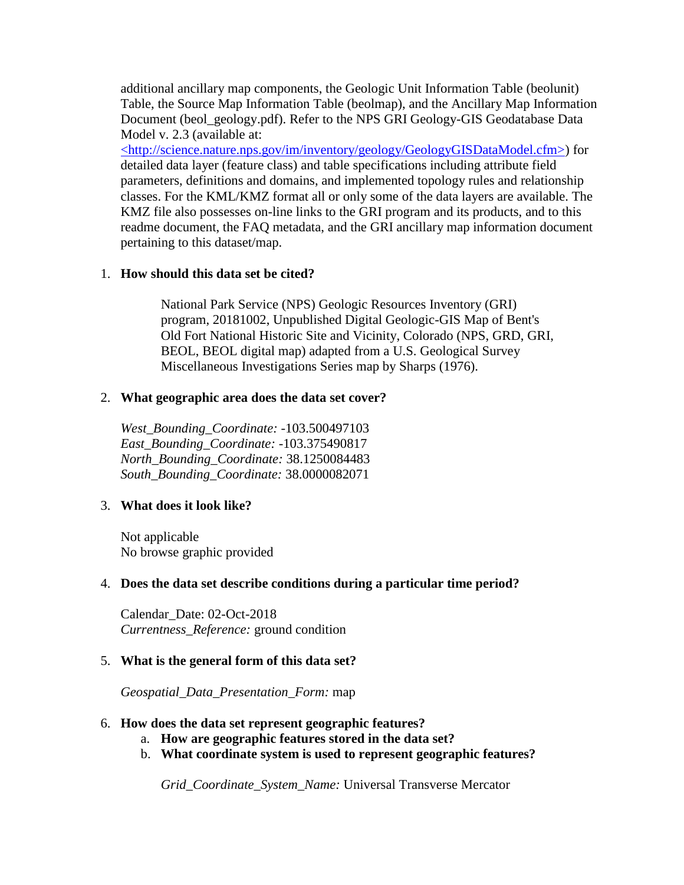additional ancillary map components, the Geologic Unit Information Table (beolunit) Table, the Source Map Information Table (beolmap), and the Ancillary Map Information Document (beol\_geology.pdf). Refer to the NPS GRI Geology-GIS Geodatabase Data Model v. 2.3 (available at:

[<http://science.nature.nps.gov/im/inventory/geology/GeologyGISDataModel.cfm>\)](http://science.nature.nps.gov/im/inventory/geology/GeologyGISDataModel.cfm) for detailed data layer (feature class) and table specifications including attribute field parameters, definitions and domains, and implemented topology rules and relationship classes. For the KML/KMZ format all or only some of the data layers are available. The KMZ file also possesses on-line links to the GRI program and its products, and to this readme document, the FAQ metadata, and the GRI ancillary map information document pertaining to this dataset/map.

### <span id="page-2-0"></span>1. **How should this data set be cited?**

National Park Service (NPS) Geologic Resources Inventory (GRI) program, 20181002, Unpublished Digital Geologic-GIS Map of Bent's Old Fort National Historic Site and Vicinity, Colorado (NPS, GRD, GRI, BEOL, BEOL digital map) adapted from a U.S. Geological Survey Miscellaneous Investigations Series map by Sharps (1976).

#### <span id="page-2-1"></span>2. **What geographic area does the data set cover?**

*West\_Bounding\_Coordinate:* -103.500497103 *East\_Bounding\_Coordinate:* -103.375490817 *North\_Bounding\_Coordinate:* 38.1250084483 *South\_Bounding\_Coordinate:* 38.0000082071

#### <span id="page-2-2"></span>3. **What does it look like?**

Not applicable No browse graphic provided

#### <span id="page-2-3"></span>4. **Does the data set describe conditions during a particular time period?**

Calendar\_Date: 02-Oct-2018 *Currentness\_Reference:* ground condition

#### <span id="page-2-4"></span>5. **What is the general form of this data set?**

*Geospatial\_Data\_Presentation\_Form:* map

#### <span id="page-2-5"></span>6. **How does the data set represent geographic features?**

- a. **How are geographic features stored in the data set?**
- b. **What coordinate system is used to represent geographic features?**

*Grid\_Coordinate\_System\_Name:* Universal Transverse Mercator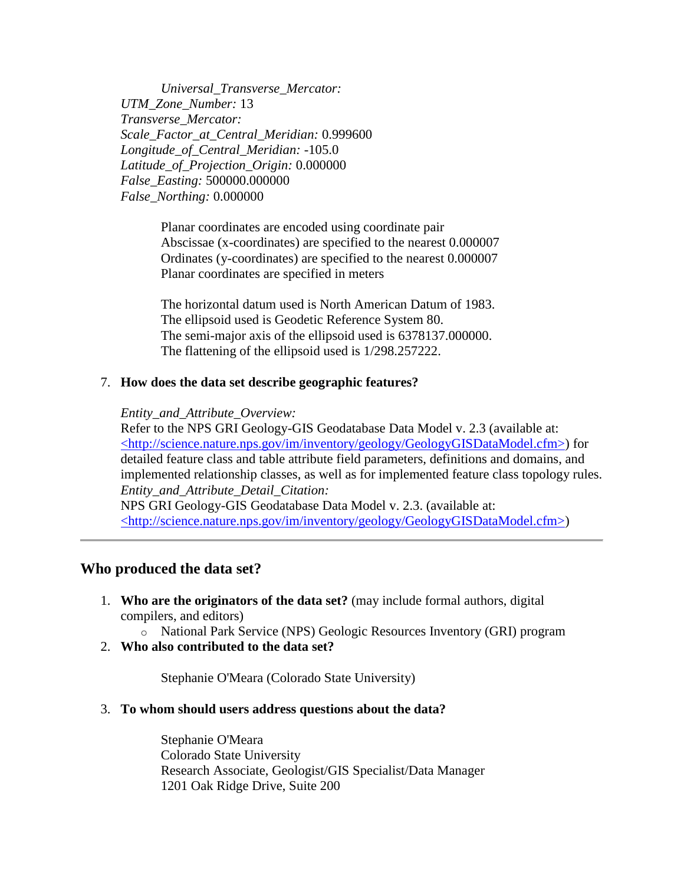*Universal\_Transverse\_Mercator: UTM\_Zone\_Number:* 13 *Transverse\_Mercator: Scale\_Factor\_at\_Central\_Meridian:* 0.999600 *Longitude\_of\_Central\_Meridian:* -105.0 *Latitude\_of\_Projection\_Origin:* 0.000000 *False\_Easting:* 500000.000000 *False\_Northing:* 0.000000

> Planar coordinates are encoded using coordinate pair Abscissae (x-coordinates) are specified to the nearest 0.000007 Ordinates (y-coordinates) are specified to the nearest 0.000007 Planar coordinates are specified in meters

The horizontal datum used is North American Datum of 1983. The ellipsoid used is Geodetic Reference System 80. The semi-major axis of the ellipsoid used is 6378137.000000. The flattening of the ellipsoid used is 1/298.257222.

#### <span id="page-3-0"></span>7. **How does the data set describe geographic features?**

#### *Entity\_and\_Attribute\_Overview:*

Refer to the NPS GRI Geology-GIS Geodatabase Data Model v. 2.3 (available at: [<http://science.nature.nps.gov/im/inventory/geology/GeologyGISDataModel.cfm>\)](http://science.nature.nps.gov/im/inventory/geology/GeologyGISDataModel.cfm) for detailed feature class and table attribute field parameters, definitions and domains, and implemented relationship classes, as well as for implemented feature class topology rules. *Entity\_and\_Attribute\_Detail\_Citation:*

NPS GRI Geology-GIS Geodatabase Data Model v. 2.3. (available at: [<http://science.nature.nps.gov/im/inventory/geology/GeologyGISDataModel.cfm>\)](http://science.nature.nps.gov/im/inventory/geology/GeologyGISDataModel.cfm)

#### <span id="page-3-1"></span>**Who produced the data set?**

- <span id="page-3-2"></span>1. **Who are the originators of the data set?** (may include formal authors, digital compilers, and editors)
	- o National Park Service (NPS) Geologic Resources Inventory (GRI) program
- <span id="page-3-3"></span>2. **Who also contributed to the data set?**

Stephanie O'Meara (Colorado State University)

#### <span id="page-3-4"></span>3. **To whom should users address questions about the data?**

Stephanie O'Meara Colorado State University Research Associate, Geologist/GIS Specialist/Data Manager 1201 Oak Ridge Drive, Suite 200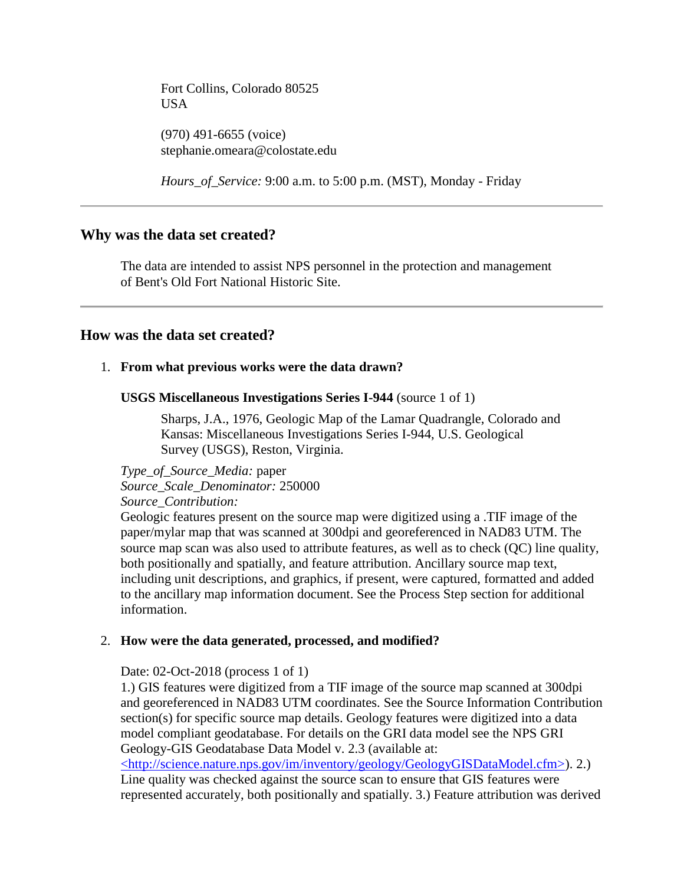Fort Collins, Colorado 80525 USA

(970) 491-6655 (voice) stephanie.omeara@colostate.edu

*Hours\_of\_Service:* 9:00 a.m. to 5:00 p.m. (MST), Monday - Friday

## <span id="page-4-0"></span>**Why was the data set created?**

The data are intended to assist NPS personnel in the protection and management of Bent's Old Fort National Historic Site.

### <span id="page-4-1"></span>**How was the data set created?**

#### <span id="page-4-2"></span>1. **From what previous works were the data drawn?**

**USGS Miscellaneous Investigations Series I-944** (source 1 of 1)

Sharps, J.A., 1976, Geologic Map of the Lamar Quadrangle, Colorado and Kansas: Miscellaneous Investigations Series I-944, U.S. Geological Survey (USGS), Reston, Virginia.

*Type\_of\_Source\_Media:* paper *Source\_Scale\_Denominator:* 250000 *Source\_Contribution:*

Geologic features present on the source map were digitized using a .TIF image of the paper/mylar map that was scanned at 300dpi and georeferenced in NAD83 UTM. The source map scan was also used to attribute features, as well as to check (QC) line quality, both positionally and spatially, and feature attribution. Ancillary source map text, including unit descriptions, and graphics, if present, were captured, formatted and added to the ancillary map information document. See the Process Step section for additional information.

#### <span id="page-4-3"></span>2. **How were the data generated, processed, and modified?**

Date: 02-Oct-2018 (process 1 of 1)

1.) GIS features were digitized from a TIF image of the source map scanned at 300dpi and georeferenced in NAD83 UTM coordinates. See the Source Information Contribution section(s) for specific source map details. Geology features were digitized into a data model compliant geodatabase. For details on the GRI data model see the NPS GRI Geology-GIS Geodatabase Data Model v. 2.3 (available at:

[<http://science.nature.nps.gov/im/inventory/geology/GeologyGISDataModel.cfm>\)](http://science.nature.nps.gov/im/inventory/geology/GeologyGISDataModel.cfm). 2.) Line quality was checked against the source scan to ensure that GIS features were represented accurately, both positionally and spatially. 3.) Feature attribution was derived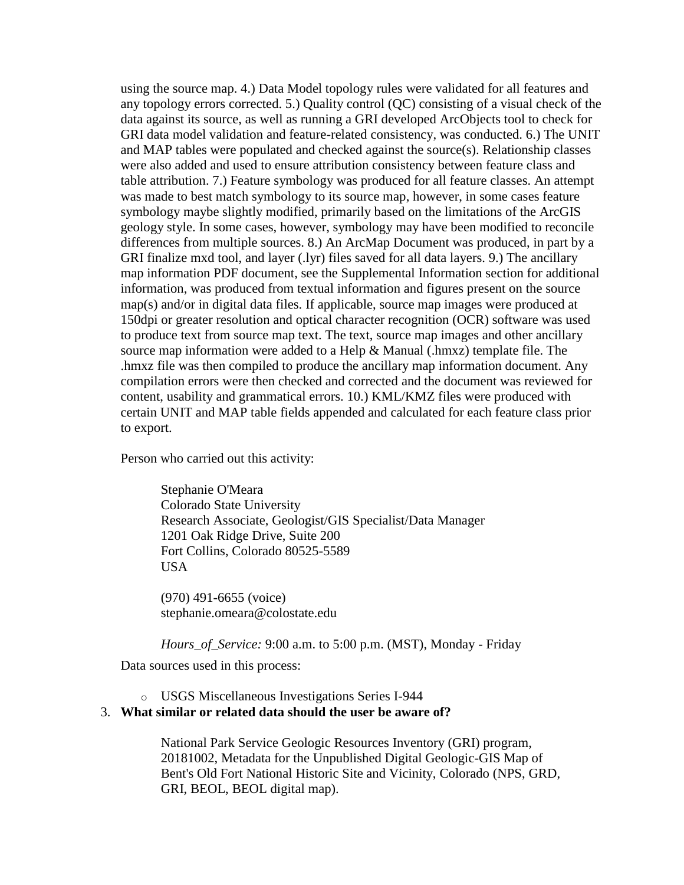using the source map. 4.) Data Model topology rules were validated for all features and any topology errors corrected. 5.) Quality control (QC) consisting of a visual check of the data against its source, as well as running a GRI developed ArcObjects tool to check for GRI data model validation and feature-related consistency, was conducted. 6.) The UNIT and MAP tables were populated and checked against the source(s). Relationship classes were also added and used to ensure attribution consistency between feature class and table attribution. 7.) Feature symbology was produced for all feature classes. An attempt was made to best match symbology to its source map, however, in some cases feature symbology maybe slightly modified, primarily based on the limitations of the ArcGIS geology style. In some cases, however, symbology may have been modified to reconcile differences from multiple sources. 8.) An ArcMap Document was produced, in part by a GRI finalize mxd tool, and layer (.lyr) files saved for all data layers. 9.) The ancillary map information PDF document, see the Supplemental Information section for additional information, was produced from textual information and figures present on the source map(s) and/or in digital data files. If applicable, source map images were produced at 150dpi or greater resolution and optical character recognition (OCR) software was used to produce text from source map text. The text, source map images and other ancillary source map information were added to a Help & Manual (.hmxz) template file. The .hmxz file was then compiled to produce the ancillary map information document. Any compilation errors were then checked and corrected and the document was reviewed for content, usability and grammatical errors. 10.) KML/KMZ files were produced with certain UNIT and MAP table fields appended and calculated for each feature class prior to export.

Person who carried out this activity:

Stephanie O'Meara Colorado State University Research Associate, Geologist/GIS Specialist/Data Manager 1201 Oak Ridge Drive, Suite 200 Fort Collins, Colorado 80525-5589 USA

(970) 491-6655 (voice) stephanie.omeara@colostate.edu

*Hours\_of\_Service:* 9:00 a.m. to 5:00 p.m. (MST), Monday - Friday Data sources used in this process:

o USGS Miscellaneous Investigations Series I-944

#### <span id="page-5-0"></span>3. **What similar or related data should the user be aware of?**

National Park Service Geologic Resources Inventory (GRI) program, 20181002, Metadata for the Unpublished Digital Geologic-GIS Map of Bent's Old Fort National Historic Site and Vicinity, Colorado (NPS, GRD, GRI, BEOL, BEOL digital map).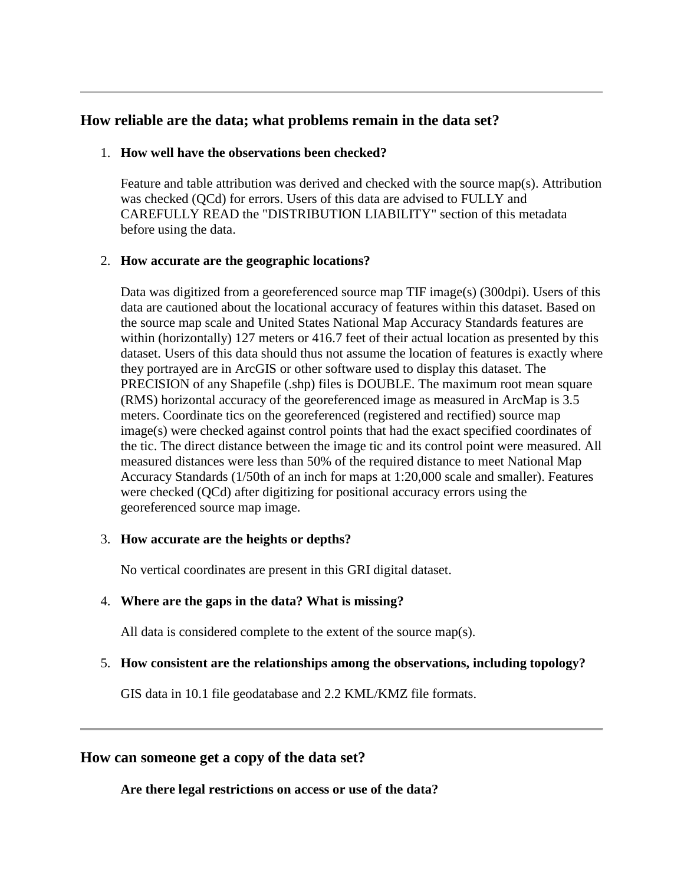## <span id="page-6-0"></span>**How reliable are the data; what problems remain in the data set?**

## <span id="page-6-1"></span>1. **How well have the observations been checked?**

Feature and table attribution was derived and checked with the source map(s). Attribution was checked (QCd) for errors. Users of this data are advised to FULLY and CAREFULLY READ the "DISTRIBUTION LIABILITY" section of this metadata before using the data.

## <span id="page-6-2"></span>2. **How accurate are the geographic locations?**

Data was digitized from a georeferenced source map TIF image(s) (300dpi). Users of this data are cautioned about the locational accuracy of features within this dataset. Based on the source map scale and United States National Map Accuracy Standards features are within (horizontally) 127 meters or 416.7 feet of their actual location as presented by this dataset. Users of this data should thus not assume the location of features is exactly where they portrayed are in ArcGIS or other software used to display this dataset. The PRECISION of any Shapefile (.shp) files is DOUBLE. The maximum root mean square (RMS) horizontal accuracy of the georeferenced image as measured in ArcMap is 3.5 meters. Coordinate tics on the georeferenced (registered and rectified) source map image(s) were checked against control points that had the exact specified coordinates of the tic. The direct distance between the image tic and its control point were measured. All measured distances were less than 50% of the required distance to meet National Map Accuracy Standards (1/50th of an inch for maps at 1:20,000 scale and smaller). Features were checked (QCd) after digitizing for positional accuracy errors using the georeferenced source map image.

### <span id="page-6-3"></span>3. **How accurate are the heights or depths?**

No vertical coordinates are present in this GRI digital dataset.

## <span id="page-6-4"></span>4. **Where are the gaps in the data? What is missing?**

All data is considered complete to the extent of the source map(s).

## <span id="page-6-5"></span>5. **How consistent are the relationships among the observations, including topology?**

GIS data in 10.1 file geodatabase and 2.2 KML/KMZ file formats.

# <span id="page-6-7"></span><span id="page-6-6"></span>**How can someone get a copy of the data set?**

**Are there legal restrictions on access or use of the data?**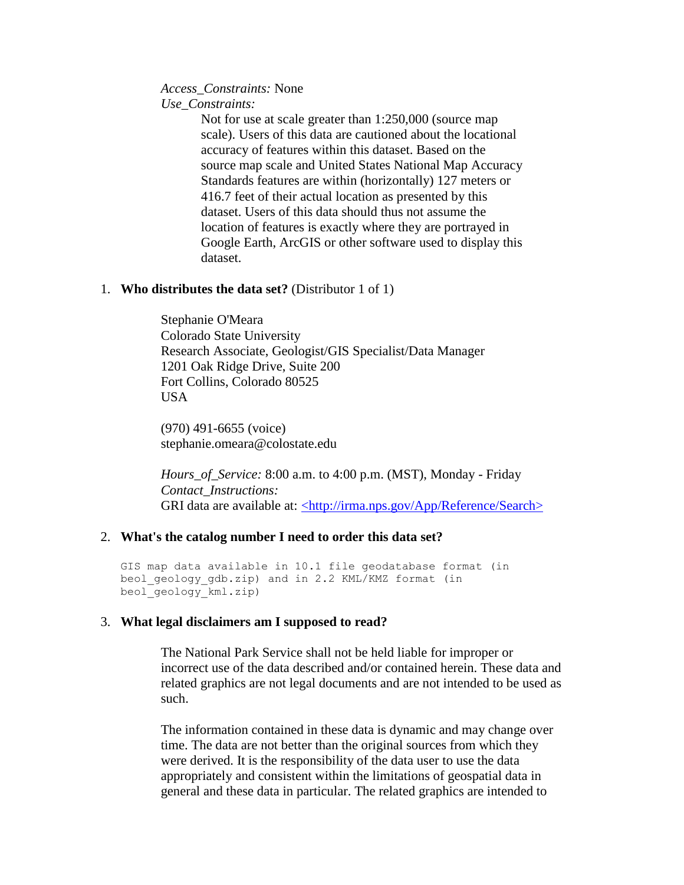#### *Access\_Constraints:* None *Use\_Constraints:*

Not for use at scale greater than 1:250,000 (source map scale). Users of this data are cautioned about the locational accuracy of features within this dataset. Based on the source map scale and United States National Map Accuracy Standards features are within (horizontally) 127 meters or 416.7 feet of their actual location as presented by this dataset. Users of this data should thus not assume the location of features is exactly where they are portrayed in Google Earth, ArcGIS or other software used to display this dataset.

#### <span id="page-7-0"></span>1. **Who distributes the data set?** (Distributor 1 of 1)

Stephanie O'Meara Colorado State University Research Associate, Geologist/GIS Specialist/Data Manager 1201 Oak Ridge Drive, Suite 200 Fort Collins, Colorado 80525 USA

(970) 491-6655 (voice) stephanie.omeara@colostate.edu

*Hours\_of\_Service:* 8:00 a.m. to 4:00 p.m. (MST), Monday - Friday *Contact\_Instructions:* GRI data are available at: [<http://irma.nps.gov/App/Reference/Search>](http://irma.nps.gov/App/Reference/Search)

### <span id="page-7-1"></span>2. **What's the catalog number I need to order this data set?**

GIS map data available in 10.1 file geodatabase format (in beol geology gdb.zip) and in 2.2 KML/KMZ format (in beol\_geology\_kml.zip)

### <span id="page-7-2"></span>3. **What legal disclaimers am I supposed to read?**

The National Park Service shall not be held liable for improper or incorrect use of the data described and/or contained herein. These data and related graphics are not legal documents and are not intended to be used as such.

The information contained in these data is dynamic and may change over time. The data are not better than the original sources from which they were derived. It is the responsibility of the data user to use the data appropriately and consistent within the limitations of geospatial data in general and these data in particular. The related graphics are intended to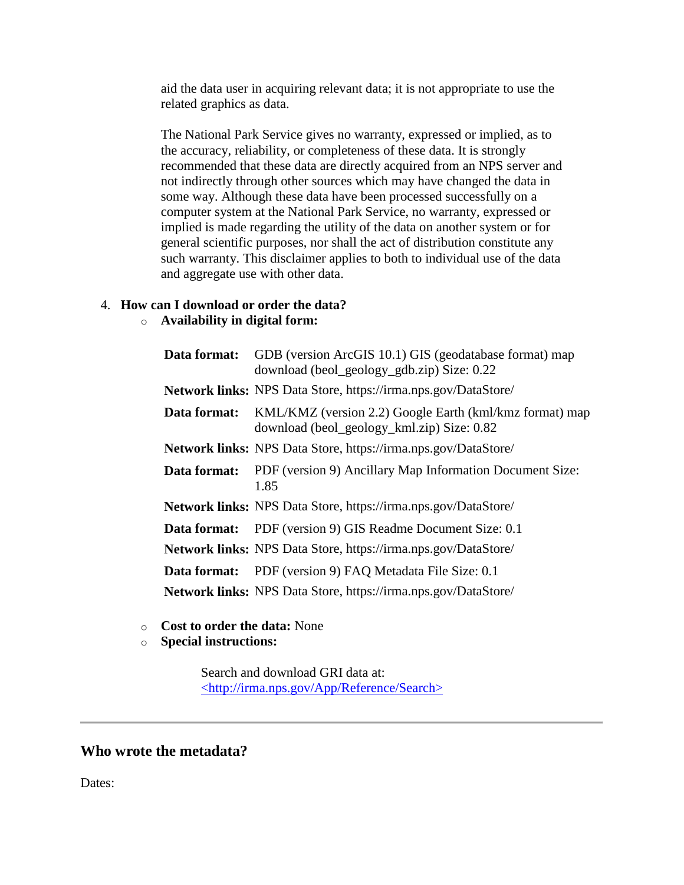aid the data user in acquiring relevant data; it is not appropriate to use the related graphics as data.

The National Park Service gives no warranty, expressed or implied, as to the accuracy, reliability, or completeness of these data. It is strongly recommended that these data are directly acquired from an NPS server and not indirectly through other sources which may have changed the data in some way. Although these data have been processed successfully on a computer system at the National Park Service, no warranty, expressed or implied is made regarding the utility of the data on another system or for general scientific purposes, nor shall the act of distribution constitute any such warranty. This disclaimer applies to both to individual use of the data and aggregate use with other data.

## <span id="page-8-0"></span>4. **How can I download or order the data?**

## o **Availability in digital form:**

| Data format: | GDB (version ArcGIS 10.1) GIS (geodatabase format) map<br>download (beol_geology_gdb.zip) Size: 0.22  |
|--------------|-------------------------------------------------------------------------------------------------------|
|              | Network links: NPS Data Store, https://irma.nps.gov/DataStore/                                        |
| Data format: | KML/KMZ (version 2.2) Google Earth (kml/kmz format) map<br>download (beol_geology_kml.zip) Size: 0.82 |
|              | Network links: NPS Data Store, https://irma.nps.gov/DataStore/                                        |
| Data format: | PDF (version 9) Ancillary Map Information Document Size:<br>1.85                                      |
|              | <b>Network links:</b> NPS Data Store, https://irma.nps.gov/DataStore/                                 |
|              | <b>Data format:</b> PDF (version 9) GIS Readme Document Size: 0.1                                     |
|              | Network links: NPS Data Store, https://irma.nps.gov/DataStore/                                        |
| Data format: | PDF (version 9) FAQ Metadata File Size: 0.1                                                           |
|              | Network links: NPS Data Store, https://irma.nps.gov/DataStore/                                        |

- o **Cost to order the data:** None
- o **Special instructions:**

Search and download GRI data at: [<http://irma.nps.gov/App/Reference/Search>](http://irma.nps.gov/App/Reference/Search)

## <span id="page-8-1"></span>**Who wrote the metadata?**

Dates: